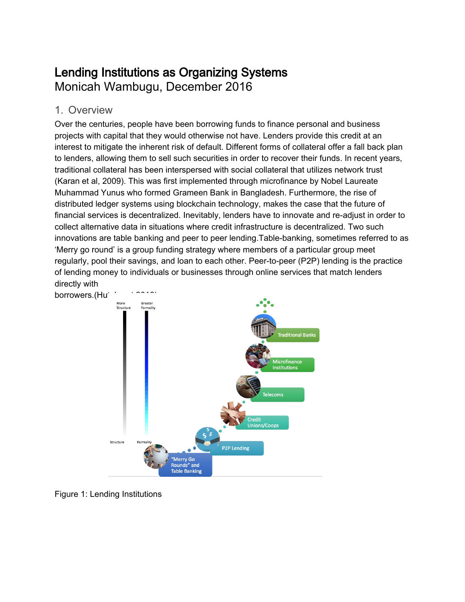# Lending Institutions as Organizing Systems Monicah Wambugu, December 2016

#### 1. Overview

Over the centuries, people have been borrowing funds to finance personal and business projects with capital that they would otherwise not have. Lenders provide this credit at an interest to mitigate the inherent risk of default. Different forms of collateral offer a fall back plan to lenders, allowing them to sell such securities in order to recover their funds. In recent years, traditional collateral has been interspersed with social collateral that utilizes network trust (Karan et al, 2009). This was first implemented through microfinance by Nobel Laureate Muhammad Yunus who formed Grameen Bank in Bangladesh. Furthermore, the rise of distributed ledger systems using blockchain technology, makes the case that the future of financial services is decentralized. Inevitably, lenders have to innovate and re-adjust in order to collect alternative data in situations where credit infrastructure is decentralized. Two such innovations are table banking and peer to peer lending.Table-banking, sometimes referred to as 'Merry go round' is a group funding strategy where members of a particular group meet regularly, pool their savings, and loan to each other. Peer-to-peer (P2P) lending is the practice of lending money to individuals or businesses through online services that match lenders directly with



Figure 1: Lending Institutions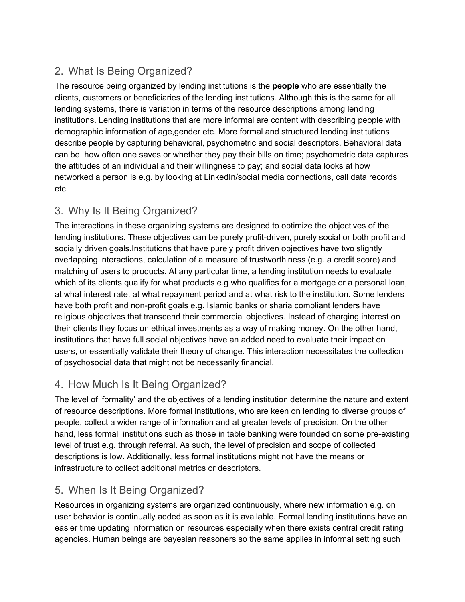# 2. What Is Being Organized?

The resource being organized by lending institutions is the **people** who are essentially the clients, customers or beneficiaries of the lending institutions. Although this is the same for all lending systems, there is variation in terms of the resource descriptions among lending institutions. Lending institutions that are more informal are content with describing people with demographic information of age,gender etc. More formal and structured lending institutions describe people by capturing behavioral, psychometric and social descriptors. Behavioral data can be how often one saves or whether they pay their bills on time; psychometric data captures the attitudes of an individual and their willingness to pay; and social data looks at how networked a person is e.g. by looking at LinkedIn/social media connections, call data records etc.

# 3. Why Is It Being Organized?

The interactions in these organizing systems are designed to optimize the objectives of the lending institutions. These objectives can be purely profit-driven, purely social or both profit and socially driven goals. Institutions that have purely profit driven objectives have two slightly overlapping interactions, calculation of a measure of trustworthiness (e.g. a credit score) and matching of users to products. At any particular time, a lending institution needs to evaluate which of its clients qualify for what products e.g who qualifies for a mortgage or a personal loan, at what interest rate, at what repayment period and at what risk to the institution. Some lenders have both profit and non-profit goals e.g. Islamic banks or sharia compliant lenders have religious objectives that transcend their commercial objectives. Instead of charging interest on their clients they focus on ethical investments as a way of making money. On the other hand, institutions that have full social objectives have an added need to evaluate their impact on users, or essentially validate their theory of change. This interaction necessitates the collection of psychosocial data that might not be necessarily financial.

## 4. How Much Is It Being Organized?

The level of 'formality' and the objectives of a lending institution determine the nature and extent of resource descriptions. More formal institutions, who are keen on lending to diverse groups of people, collect a wider range of information and at greater levels of precision. On the other hand, less formal institutions such as those in table banking were founded on some pre-existing level of trust e.g. through referral. As such, the level of precision and scope of collected descriptions is low. Additionally, less formal institutions might not have the means or infrastructure to collect additional metrics or descriptors.

## 5. When Is It Being Organized?

Resources in organizing systems are organized continuously, where new information e.g. on user behavior is continually added as soon as it is available. Formal lending institutions have an easier time updating information on resources especially when there exists central credit rating agencies. Human beings are bayesian reasoners so the same applies in informal setting such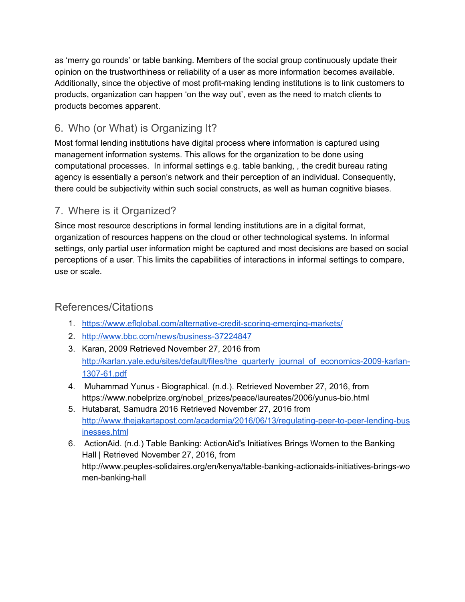as 'merry go rounds' or table banking. Members of the social group continuously update their opinion on the trustworthiness or reliability of a user as more information becomes available. Additionally, since the objective of most profit-making lending institutions is to link customers to products, organization can happen 'on the way out', even as the need to match clients to products becomes apparent.

# 6. Who (or What) is Organizing It?

Most formal lending institutions have digital process where information is captured using management information systems. This allows for the organization to be done using computational processes. In informal settings e.g. table banking, , the credit bureau rating agency is essentially a person's network and their perception of an individual. Consequently, there could be subjectivity within such social constructs, as well as human cognitive biases.

# 7. Where is it Organized?

Since most resource descriptions in formal lending institutions are in a digital format, organization of resources happens on the cloud or other technological systems. In informal settings, only partial user information might be captured and most decisions are based on social perceptions of a user. This limits the capabilities of interactions in informal settings to compare, use or scale.

## References/Citations

- 1. <https://www.eflglobal.com/alternative-credit-scoring-emerging-markets/>
- 2. <http://www.bbc.com/news/business-37224847>
- 3. Karan, 2009 Retrieved November 27, 2016 from [http://karlan.yale.edu/sites/default/files/the\\_quarterly\\_journal\\_of\\_economics-2009-karlan-](http://karlan.yale.edu/sites/default/files/the_quarterly_journal_of_economics-2009-karlan-1307-61.pdf)[1307-61.pdf](http://karlan.yale.edu/sites/default/files/the_quarterly_journal_of_economics-2009-karlan-1307-61.pdf)
- 4. Muhammad Yunus Biographical. (n.d.). Retrieved November 27, 2016, from https://www.nobelprize.org/nobel\_prizes/peace/laureates/2006/yunus-bio.html
- 5. Hutabarat, Samudra 2016 Retrieved November 27, 2016 from [http://www.thejakartapost.com/academia/2016/06/13/regulating-peer-to-peer-lending-bus](http://www.thejakartapost.com/academia/2016/06/13/regulating-peer-to-peer-lending-businesses.html) [inesses.html](http://www.thejakartapost.com/academia/2016/06/13/regulating-peer-to-peer-lending-businesses.html)
- 6. ActionAid. (n.d.) Table Banking: ActionAid's Initiatives Brings Women to the Banking Hall | Retrieved November 27, 2016, from http://www.peuples-solidaires.org/en/kenya/table-banking-actionaids-initiatives-brings-wo men-banking-hall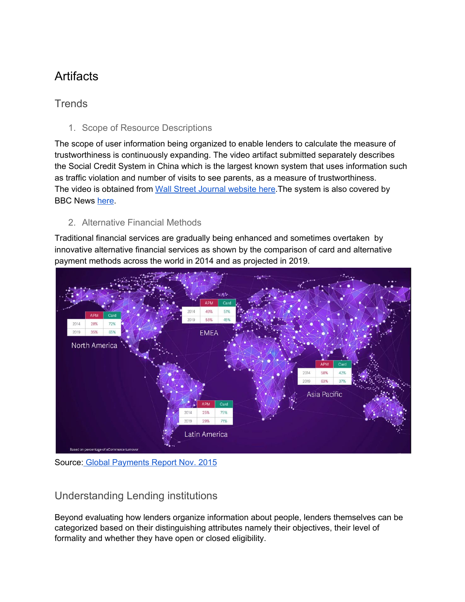# **Artifacts**

#### **Trends**

1. Scope of Resource Descriptions

The scope of user information being organized to enable lenders to calculate the measure of trustworthiness is continuously expanding. The video artifact submitted separately describes the Social Credit System in China which is the largest known system that uses information such as traffic violation and number of visits to see parents, as a measure of trustworthiness. The video is obtained from Wall Street Journal [website](http://www.wsj.com/articles/chinas-new-tool-for-social-control-a-credit-rating-for-everything-1480351590) here. The system is also covered by BBC News [here.](http://www.bbc.com/news/world-asia-china-34592186)

#### 2. Alternative Financial Methods

Traditional financial services are gradually being enhanced and sometimes overtaken by innovative alternative financial services as shown by the comparison of card and alternative payment methods across the world in 2014 and as projected in 2019.



Source: [Global Payments Report](http://offers.worldpayglobal.com/rs/850-JOA-856/images/GlobalPaymentsReportNov2015.pdf) Nov. 2015

## Understanding Lending institutions

Beyond evaluating how lenders organize information about people, lenders themselves can be categorized based on their distinguishing attributes namely their objectives, their level of formality and whether they have open or closed eligibility.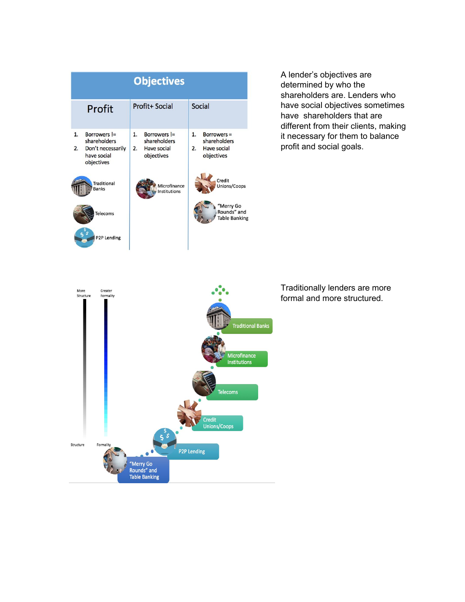

A lender's objectives are determined by who the shareholders are. Lenders who have social objectives sometimes have shareholders that are different from their clients, making it necessary for them to balance profit and social goals.

Traditionally lenders are more formal and more structured.